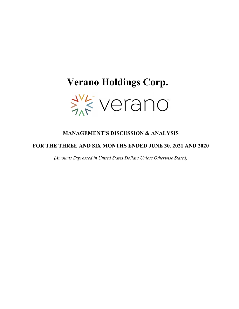# **Verano Holdings Corp.**



# **MANAGEMENT'S DISCUSSION & ANALYSIS**

# **FOR THE THREE AND SIX MONTHS ENDED JUNE 30, 2021 AND 2020**

*(Amounts Expressed in United States Dollars Unless Otherwise Stated)*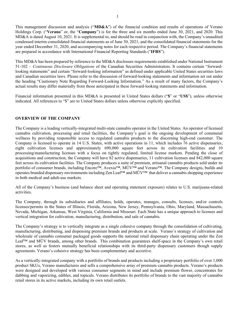This management discussion and analysis ("**MD&A**") of the financial condition and results of operations of Verano Holdings Corp. ("**Verano**" or, the "**Company**") is for the three and six months ended June 30, 2021, and 2020. This MD&A is dated August 10, 2021. It is supplemental to, and should be read in conjunction with, the Company's unaudited condensed interim consolidated financial statements as of June 30, 2021, and the consolidated financial statements for the year ended December 31, 2020, and accompanying notes for each respective period. The Company's financial statements are prepared in accordance with International Financial Reporting Standards ("**IFRS**").

This MD&A has been prepared by reference to the MD&A disclosure requirements established under National Instrument 51-102 – *Continuous Disclosure Obligations* of the Canadian Securities Administrators. It contains certain "forwardlooking statements" and certain "forward-looking information" as defined under applicable United States securities laws and Canadian securities laws. Please refer to the discussion of forward-looking statements and information set out under the heading "Cautionary Note Regarding Forward-Looking Information." As a result of many factors, the Company's actual results may differ materially from those anticipated in these forward-looking statements and information.

Financial information presented in this MD&A is presented in United States dollars ("**\$**" or "**US\$**"), unless otherwise indicated. All references to "\$" are to United States dollars unless otherwise explicitly specified.

# **OVERVIEW OF THE COMPANY**

The Company is a leading vertically-integrated multi-state cannabis operator in the United States. An operator of licensed cannabis cultivation, processing and retail facilities, the Company's goal is the ongoing development of communal wellness by providing responsible access to regulated cannabis products to the discerning high-end customer. The Company is licensed to operate in 14 U.S. States, with active operations in 11, which includes 76 active dispensaries, eight cultivation licenses and approximately 690,000 square feet across its cultivation facilities and 10 processing/manufacturing licenses with a focus on tightly regulated, limited license markets. Pending the close of acquisitions and construction, the Company will have 82 active dispensaries, 11 cultivation licenses and 842,000 square feet across its cultivation facilities. The Company produces a suite of premium, artisanal cannabis products sold under its portfolio of consumer brands, including Encore<sup>TM</sup>, Avexia<sup>™</sup>, MÜV<sup>™</sup> and Verano<sup>™</sup>. The Company designs, builds and operates branded dispensary environments including Zen Leaf™ and MÜV™ that deliver a cannabis shopping experience in both medical and adult-use markets.

All of the Company's business (and balance sheet and operating statement exposure) relates to U.S. marijuana-related activities.

The Company, through its subsidiaries and affiliates, holds, operates, manages, consults, licenses, and/or controls licenses/permits in the States of Illinois, Florida, Arizona, New Jersey, Pennsylvania, Ohio, Maryland, Massachusetts, Nevada, Michigan, Arkansas, West Virginia, California and Missouri. Each State has a unique approach to licenses and vertical integration for cultivation, manufacturing, distribution, and sale of cannabis.

The Company's strategy is to vertically integrate as a single cohesive company through the consolidation of cultivating, manufacturing, distributing, and dispensing premium brands and products at scale. Verano's strategy of cultivation and wholesale of cannabis consumer packaged goods supports the national retail dispensary chain operating under the Zen Leaf™ and MÜV brands, among other brands. This combination guarantees shelf-space in the Company's own retail stores, as well as fosters mutually beneficial relationships with its third-party dispensary customers though supply agreements. Verano's cohesive strategy has been complementary and accretive.

As a vertically-integrated company with a portfolio of brands and products including a proprietary portfolio of over 1,000 product SKUs, Verano manufactures and sells a comprehensive array of premium cannabis products. Verano's products were designed and developed with various consumer segments in mind and include premium flower, concentrates for dabbing and vaporizing, edibles, and topicals. Verano distributes its portfolio of brands to the vast majority of cannabis retail stores in its active markets, including its own retail outlets.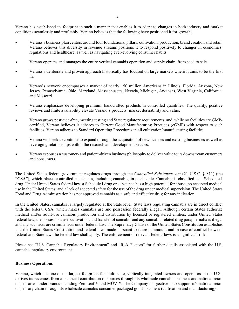Verano has established its footprint in such a manner that enables it to adapt to changes in both industry and market conditions seamlessly and profitably. Verano believes that the following have positioned it for growth:

- Verano's business plan centers around four foundational pillars: cultivation, production, brand creation and retail. Verano believes this diversity in revenue streams positions it to respond positively to changes in economics, regulations and healthcare, as well as navigating ever-evolving consumer habits.
- Verano operates and manages the entire vertical cannabis operation and supply chain, from seed to sale.
- Verano's deliberate and proven approach historically has focused on large markets where it aims to be the first in.
- Verano's network encompasses a market of nearly 150 million Americans in Illinois, Florida, Arizona, New Jersey, Pennsylvania, Ohio, Maryland, Massachusetts, Nevada, Michigan, Arkansas, West Virginia, California, and Missouri.
- Verano emphasizes developing premium, handcrafted products in controlled quantities. The quality, positive reviews and finite availability elevate Verano's products' market desirability and value.
- Verano grows pesticide-free, meeting testing and State regulatory requirements, and, while no facilities are GMPcertified, Verano believes it adheres to Current Good Manufacturing Practices (cGMP) with respect to such facilities. Verano adheres to Standard Operating Procedures in all cultivation/manufacturing facilities.
- Verano will seek to continue to expand through the acquisition of new licenses and existing businesses as well as leveraging relationships within the research and development sectors.
- Verano espouses a customer- and patient-driven business philosophy to deliver value to its downstream customers and consumers.

The United States federal government regulates drugs through the *Controlled Substances Act* (21 U.S.C. § 811) (the "**CSA**"), which places controlled substances, including cannabis, in a schedule. Cannabis is classified as a Schedule I drug. Under United States federal law, a Schedule I drug or substance has a high potential for abuse, no accepted medical use in the United States, and a lack of accepted safety for the use of the drug under medical supervision. The United States Food and Drug Administration has not approved cannabis as a safe and effective drug for any indication.

In the United States, cannabis is largely regulated at the State level. State laws regulating cannabis are in direct conflict with the federal CSA, which makes cannabis use and possession federally illegal. Although certain States authorize medical and/or adult-use cannabis production and distribution by licensed or registered entities, under United States federal law, the possession, use, cultivation, and transfer of cannabis and any cannabis-related drug paraphernalia is illegal and any such acts are criminal acts under federal law. The Supremacy Clause of the United States Constitution establishes that the United States Constitution and federal laws made pursuant to it are paramount and in case of conflict between federal and State law, the federal law shall apply. The enforcement of relevant federal laws is a significant risk.

Please see "U.S. Cannabis Regulatory Environment" and "Risk Factors" for further details associated with the U.S. cannabis regulatory environment.

#### **Business Operations**

Verano, which has one of the largest footprints for multi-state, vertically-integrated owners and operators in the U.S., derives its revenues from a balanced contribution of sources through its wholesale cannabis business and national retail dispensaries under brands including Zen Leaf™ and MÜV™. The Company's objective is to support it's national retail dispensary chain through its wholesale cannabis consumer packaged goods business (cultivation and manufacturing).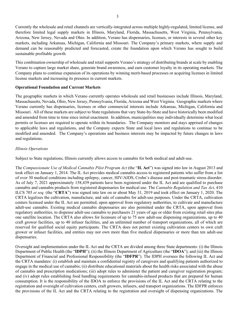Currently the wholesale and retail channels are vertically-integrated across multiple highly-regulated, limited license, and therefore limited legal supply markets in Illinois, Maryland, Florida, Massachusetts, West Virginia, Pennsylvania, Arizona, New Jersey, Nevada and Ohio. In addition, Verano has dispensaries, licenses, or interests in several other key markets, including Arkansas, Michigan, California and Missouri. The Company's primary markets, where supply and demand can be reasonably predicted and forecasted, create the foundation upon which Verano has sought to build sustainable profitable growth.

This combination ownership of wholesale and retail supports Verano's strategy of distributing brands at scale by enabling Verano to capture large market share, generate brand awareness, and earn customer loyalty in its operating markets. The Company plans to continue expansion of its operations by winning merit-based processes or acquiring licenses in limited license markets and increasing its presence in current markets.

# **Operational Foundation and Current Markets**

The geographic markets in which Verano currently operates wholesale and retail businesses include Illinois, Maryland, Massachusetts, Nevada, Ohio, New Jersey, Pennsylvania, Florida, Arizona and West Virginia. Geographic markets where Verano currently has dispensaries, licenses or other commercial interests include Arkansas, Michigan, California and Missouri. All of these markets are subject to State regulations that vary State-by-State and have historically been modified and amended from time to time since initial enactment. In addition, municipalities may individually determine what local permits or licenses are required to operate within its boundaries. The Company monitors and stays apprised of changes to applicable laws and regulations, and the Company expects State and local laws and regulations to continue to be modified and amended. The Company's operations and business interests may be impacted by future changes in laws and regulations.

# *Illinois Operations*

Subject to State regulations, Illinois currently allows access to cannabis for both medical and adult-use.

The *Compassionate Use of Medical Cannabis Pilot Program Act* (the "**IL Act**") was signed into law in August 2013 and took effect on January 1, 2014. The IL Act provides medical cannabis access to registered patients who suffer from a list of over 30 medical conditions including epilepsy, cancer, HIV/AIDS, Crohn's disease and post-traumatic stress disorder. As of July 7, 2021 approximately 158,439 patients have been registered under the IL Act and are qualified to purchase cannabis and cannabis products from registered dispensaries for medical use. The *Cannabis Regulation and Tax Act*, 410 ILCS 705 *et seq.* (the "**CRTA**") was signed into law on or about May 31, 2019 and took effect on January 1, 2020. The CRTA legalizes the cultivation, manufacture, and sale of cannabis for adult-use purposes. Under the CRTA, cultivation centers licensed under the IL Act are permitted, upon approval from regulatory authorities, to cultivate and manufacture adult-use cannabis. Existing medical cannabis dispensaries are also permitted under the CRTA, upon approval from regulatory authorities, to dispense adult-use cannabis to purchasers 21 years of age or older from existing retail sites plus one satellite location. The CRTA also allows for licensure of up to 75 new adult-use dispensing organizations, up to 40 craft grower facilities, up to 40 infuser facilities, and an unlimited number of transport organizations, all of which are reserved for qualified social equity participants. The CRTA does not permit existing cultivation centers to own craft grower or infuser facilities, and entities may not own more than five medical dispensaries or more than ten adult-use dispensaries.

Oversight and implementation under the IL Act and the CRTA are divided among three State departments: (i) the Illinois Department of Public Health (the "**IDPH**"); (ii) the Illinois Department of Agriculture (the "**IDOA**"); and (iii) the Illinois Department of Financial and Professional Responsibility (the "**IDFPR**"). The IDPH oversees the following IL Act and the CRTA mandates: (i) establish and maintain a confidential registry of caregivers and qualifying patients authorized to engage in the medical use of cannabis; (ii) distribute educational materials about the health risks associated with the abuse of cannabis and prescription medications; (iii) adopt rules to administer the patient and caregiver registration program; and (iv) adopt rules establishing food handling requirements for cannabis-infused products that are prepared for human consumption. It is the responsibility of the IDOA to enforce the provisions of the IL Act and the CRTA relating to the registration and oversight of cultivation centers, craft growers, infusers, and transport organizations. The IDFPR enforces the provisions of the IL Act and the CRTA relating to the registration and oversight of dispensing organizations. The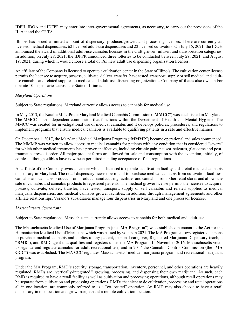IDPH, IDOA and IDFPR may enter into inter-governmental agreements, as necessary, to carry out the provisions of the IL Act and the CRTA.

Illinois has issued a limited amount of dispensary, producer/grower, and processing licenses. There are currently 55 licensed medical dispensaries, 62 licensed adult-use dispensaries and 22 licensed cultivators. On July 15, 2021, the IDOH announced the award of additional adult-use cannabis licenses in the craft grower, infuser, and transportation categories. In addition, on July 28, 2021, the IDFPR announced three lotteries to be conducted between July 29, 2021, and August 19, 2021, during which it would choose a total of 185 new adult use dispensing organization licenses.

An affiliate of the Company is licensed to operate a cultivation center in the State of Illinois. The cultivation center license permits the licensee to acquire, possess, cultivate, deliver, transfer, have tested, transport, supply or sell medical and adultuse cannabis and related supplies to medical and adult-use dispensing organizations. Company affiliates also own and/or operate 10 dispensaries across the State of Illinois.

# *Maryland Operations*

Subject to State regulations, Maryland currently allows access to cannabis for medical use.

In May 2013, the Natalie M. LaPrade Maryland Medical Cannabis Commission ("**MMCC**") was established in Maryland. The MMCC is an independent commission that functions within the Department of Health and Mental Hygiene. The MMCC was created for investigational use of medical cannabis and it develops policies, procedures, and regulations to implement programs that ensure medical cannabis is available to qualifying patients in a safe and effective manner.

On December 1, 2017, the Maryland Medical Marijuana Program ("**MMMP**") became operational and sales commenced. The MMMP was written to allow access to medical cannabis for patients with any condition that is considered "severe" for which other medical treatments have proven ineffective, including chronic pain, nausea, seizures, glaucoma and posttraumatic stress disorder. All major product forms are allowed for sale and consumption with the exception, initially, of edibles, although edibles have now been permitted pending acceptance of final regulations.

An affiliate of the Company owns a licensee which is licensed to operate a cultivation facility and a retail medical cannabis dispensary in Maryland. The retail dispensary license permits it to purchase medical cannabis from cultivation facilities, cannabis and cannabis products from product manufacturing facilities and cannabis from other retail stores and allows the sale of cannabis and cannabis products to registered patients. The medical grower license permits the licensee to acquire, possess, cultivate, deliver, transfer, have tested, transport, supply or sell cannabis and related supplies to medical marijuana dispensaries, and medical cannabis grower facilities. In addition, through management agreements and other affiliate relationships, Verano's subsidiaries manage four dispensaries in Maryland and one processor licensee.

# *Massachusetts Operations*

Subject to State regulations, Massachusetts currently allows access to cannabis for both medical and adult-use.

The Massachusetts Medical Use of Marijuana Program (the "**MA Program**") was established pursuant to the Act for the Humanitarian Medical Use of Marijuana which was passed by voters in 2021. The MA Program allows registered persons to purchase medical cannabis and applies to any patient, personal caregiver, Registered Marijuana Dispensary (each, a "RMD"), and RMD agent that qualifies and registers under the MA Program. In November 2016, Massachusetts voted to legalize and regulate cannabis for adult recreational use, and in 2017 the Cannabis Control Commission (the "**MA CCC**") was established. The MA CCC regulates Massachusetts' medical marijuana program and recreational marijuana program.

Under the MA Program, RMD's security, storage, transportation, inventory, personnel, and other operations are heavily regulated. RMDs are "vertically-integrated," growing, processing, and dispensing their own marijuana. As such, each RMD is required to have a retail facility as well as cultivation and processing operations, although retail operations may be separate from cultivation and processing operations. RMDs that elect to do cultivation, processing and retail operations all in one location, are commonly referred to as a "co-located" operation. An RMD may also choose to have a retail dispensary in one location and grow marijuana at a remote cultivation location.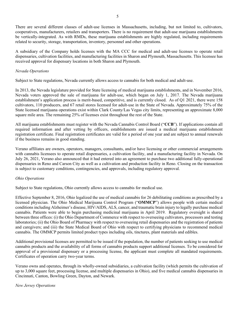There are several different classes of adult-use licenses in Massachusetts, including, but not limited to, cultivators, cooperatives, manufacturers, retailers and transporters. There is no requirement that adult-use marijuana establishments be vertically-integrated. As with RMDs, these marijuana establishments are highly regulated, including requirements related to security, storage, transportation, inventory, personnel and other operations.

A subsidiary of the Company holds licenses with the MA CCC for medical and adult-use licenses to operate retail dispensaries, cultivation facilities, and manufacturing facilities in Sharon and Plymouth, Massachusetts. This licensee has received approval for dispensary locations in both Sharon and Plymouth.

# *Nevada Operations*

Subject to State regulations, Nevada currently allows access to cannabis for both medical and adult-use.

In 2013, the Nevada legislature provided for State licensing of medical marijuana establishments, and in November 2016, Nevada voters approved the sale of marijuana for adult-use, which began on July 1, 2017. The Nevada marijuana establishment's application process is merit-based, competitive, and is currently closed. As of Q1 2021, there were 158 cultivators, 110 producers, and 67 retail stores licensed for adult-use in the State of Nevada. Approximately 75% of the State licensed marijuana operations exist within Clark County/Las Vegas city limits, representing an approximate 8,000 square mile area. The remaining 25% of licenses exist throughout the rest of the State.

All marijuana establishments must register with the Nevada Cannabis Control Board ("**CCB**"). If applications contain all required information and after vetting by officers, establishments are issued a medical marijuana establishment registration certificate. Final registration certificates are valid for a period of one year and are subject to annual renewals if the business remains in good standing.

Verano affiliates are owners, operators, managers, consultants, and/or have licensing or other commercial arrangements with cannabis licensees to operate retail dispensaries, a cultivation facility, and a manufacturing facility in Nevada. On July 26, 2021, Verano also announced that it had entered into an agreement to purchase two additional fully-operational dispensaries in Reno and Carson City as well as a cultivation and production facility in Reno. Closing on the transaction is subject to customary conditions, contingencies, and approvals, including regulatory approval.

# *Ohio Operations*

Subject to State regulations, Ohio currently allows access to cannabis for medical use.

Effective September 8, 2016, Ohio legalized the use of medical cannabis for 26 debilitating conditions as prescribed by a licensed physician. The Ohio Medical Marijuana Control Program ("**OMMCP**") allows people with certain medical conditions including Alzheimer's disease, HIV/AIDS, ALS, cancer, and traumatic brain injury to legally purchase medical cannabis. Patients were able to begin purchasing medicinal marijuana in April 2019. Regulatory oversight is shared between three offices: (i) the Ohio Department of Commerce with respect to overseeing cultivators, processors and testing laboratories; (ii) the Ohio Board of Pharmacy with respect to overseeing retail dispensaries and the registration of patients and caregivers; and (iii) the State Medical Board of Ohio with respect to certifying physicians to recommend medical cannabis. The OMMCP permits limited product types including oils, tinctures, plant materials and edibles.

Additional provisional licenses are permitted to be issued if the population, the number of patients seeking to use medical cannabis products and the availability of all forms of cannabis products support additional licenses. To be considered for approval of a provisional dispensary or a processing license, the applicant must complete all mandated requirements. Certificates of operation carry two-year terms.

Verano owns and operates, through its wholly-owned subsidiaries, a cultivation facility (which permits the cultivation of up to 3,000 square feet, processing license, and multiple dispensaries in Ohio), and five medical cannabis dispensaries in Cincinnati, Canton, Bowling Green, Dayton, and Newark.

*New Jersey Operations*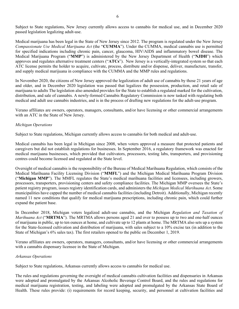Subject to State regulations, New Jersey currently allows access to cannabis for medical use, and in December 2020 passed legislation legalizing adult-use.

Medical marijuana has been legal in the State of New Jersey since 2012. The program is regulated under the New Jersey *Compassionate Use Medical Marijuana Act* (the "**CUMMA**"). Under the CUMMA, medical cannabis use is permitted for specified indications including chronic pain, cancer, glaucoma, HIV/AIDS and inflammatory bowel disease. The Medical Marijuana Program ("**MMP**") is administered by the New Jersey Department of Health ("**NJDH**") which approves and regulates alternative treatment centers ("**ATCs**"). New Jersey is a vertically-integrated system so that each ATC license permits the holder to acquire, cultivate, process, distribute and/or dispense, deliver, manufacture, transfer, and supply medical marijuana in compliance with the CUMMA and the MMP rules and regulations.

In November 2020, the citizens of New Jersey approved the legalization of adult use of cannabis by those 21 years of age and older, and in December 2020 legislation was passed that legalizes the possession, production, and retail sale of marijuana to adults The legislation also amended provides for the State to establish a regulated marked for the cultivation, distribution, and sale of cannabis. A newly-formed Cannabis Regulatory Commission is now tasked with regulating both medical and adult use cannabis industries, and is in the process of drafting new regulations for the adult-use program.

Verano affiliates are owners, operators, managers, consultants, and/or have licensing or other commercial arrangements with an ATC in the State of New Jersey.

# *Michigan Operations*

Subject to State regulations, Michigan currently allows access to cannabis for both medical and adult-use.

Medical cannabis has been legal in Michigan since 2008, when voters approved a measure that protected patients and caregivers but did not establish regulations for businesses. In September 2016, a regulatory framework was enacted for medical marijuana businesses, which provided that cultivators, processors, testing labs, transporters, and provisioning centres could become licensed and regulated at the State level.

Oversight of medical cannabis is the responsibility of the Bureau of Medical Marihuana Regulation, which consists of the Medical Marihuana Facility Licensing Division ("**MMFL**") and the Michigan Medical Marihuana Program Division ("**Michigan MMP**"). The MMFL regulates the State's medical marihuana facilities and licensees, including growers, processors, transporters, provisioning centers and safety compliance facilities. The Michigan MMP oversees the State's patient registry program, issues registry identification cards, and administers the *Michigan Medical Marihuana Act*. Some municipalities have capped the number of medical cannabis facilities (including Detroit). Additionally, Michigan recently named 11 new conditions that qualify for medical marijuana prescriptions, including chronic pain, which could further expand the patient base.

In December 2018, Michigan voters legalized adult-use cannabis, and the Michigan *Regulation and Taxation of Marihuana Act* ("**MRTMA**"). The MRTMA allows persons aged 21 and over to possess up to two and one-half ounces of marijuana in public, up to ten ounces at home, and cultivate up to 12 plants at home. The MRTMA also sets up a system for the State-licensed cultivation and distribution of marijuana, with sales subject to a 10% excise tax (in addition to the State of Michigan's 6% sales tax). The first retailers opened to the public on December 1, 2019.

Verano affiliates are owners, operators, managers, consultants, and/or have licensing or other commercial arrangements with a cannabis dispensary licensee in the State of Michigan.

# *Arkansas Operations*

Subject to State regulations, Arkansas currently allows access to cannabis for medical use.

The rules and regulations governing the oversight of medical cannabis cultivation facilities and dispensaries in Arkansas were adopted and promulgated by the Arkansas Alcoholic Beverage Control Board, and the rules and regulations for medical marijuana registration, testing, and labeling were adopted and promulgated by the Arkansas State Board of Health. These rules provide: (i) requirements for record keeping, security, and personnel at cultivation facilities and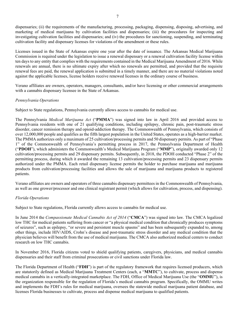dispensaries; (ii) the requirements of the manufacturing, processing, packaging, dispensing, disposing, advertising, and marketing of medical marijuana by cultivation facilities and dispensaries; (iii) the procedures for inspecting and investigating cultivation facilities and dispensaries; and (iv) the procedures for sanctioning, suspending, and terminating cultivation facility and dispensary licenses for violations of the amendment or these rules.

Licenses issued in the State of Arkansas expire one year after the date of issuance. The Arkansas Medical Marijuana Commission is required under the legislation to issue a renewal dispensary or a renewal cultivation facility license within ten days to any entity that complies with the requirements contained in the Medical Marijuana Amendment of 2016. While renewals are annual, there is no ultimate expiry after which no renewals are permitted, and provided that the requisite renewal fees are paid, the renewal application is submitted in a timely manner, and there are no material violations noted against the applicable licenses, license holders receive renewed licenses in the ordinary course of business.

Verano affiliates are owners, operators, managers, consultants, and/or have licensing or other commercial arrangements with a cannabis dispensary licensee in the State of Arkansas.

# *Pennsylvania Operations*

Subject to State regulations, Pennsylvania currently allows access to cannabis for medical use.

The Pennsylvania *Medical Marijuana Act* ("**PMMA**") was signed into law in April 2016 and provided access to Pennsylvania residents with one of 21 qualifying conditions, including epilepsy, chronic pain, post-traumatic stress disorder, cancer remission therapy and opioid-addiction therapy. The Commonwealth of Pennsylvania, which consists of over 12,000,000 people and qualifies as the fifth largest population in the United States, operates as a high-barrier market. The PMMA authorizes only a maximum of 25 cultivation/processing permits and 50 dispensary permits. As part of "Phase 1" of the Commonwealth of Pennsylvania's permitting process in 2017, the Pennsylvania Department of Health ("**PDOH**"), which administers the Commonwealth's Medical Marijuana Program ("**MMP**"), originally awarded only 12 cultivation/processing permits and 29 dispensary permits. Subsequently, in 2018, the PDOH conducted "Phase 2" of the permitting process, during which it awarded the remaining 13 cultivation/processing permits and 23 dispensary permits authorized under the PMMA. Each retail dispensary license permits the holder to purchase marijuana and marijuana products from cultivation/processing facilities and allows the sale of marijuana and marijuana products to registered patients.

Verano affiliates are owners and operators of three cannabis dispensary permittees in the Commonwealth of Pennsylvania, as well as one grower/processor and one clinical registrant permit (which allows for cultivation, process, and dispensing).

# *Florida Operations*

Subject to State regulations, Florida currently allows access to cannabis for medical use.

In June 2014 the *Compassionate Medical Cannabis Act of 2014* ("**CMCA**") was signed into law. The CMCA legalized low THC for medical patients suffering from cancer or "a physical medical condition that chronically produces symptoms of seizures", such as epilepsy, "or severe and persistent muscle spasms" and has been subsequently expanded to, among other things, include HIV/AIDS, Crohn's disease and post-traumatic stress disorder and any medical condition that the physician believes will benefit from the use of medical marijuana. The CMCA also authorized medical centers to conduct research on low THC cannabis.

In November 2016, Florida citizens voted to shield qualifying patients, caregivers, physicians, and medical cannabis dispensaries and their staff from criminal prosecutions or civil sanctions under Florida law.

The Florida Department of Health ("**FDH**") is part of the regulatory framework that requires licensed producers, which are statutorily defined as Medical Marijuana Treatment Centers (each, a "**MMTC**"), to cultivate, process and dispense medical cannabis in a vertically-integrated marketplace. The FDH, Office of Medical Marijuana Use (the "**OMMU**"), is the organization responsible for the regulation of Florida's medical cannabis program. Specifically, the OMMU writes and implements the FDH's rules for medical marijuana, oversees the statewide medical marijuana patient database, and licenses Florida businesses to cultivate, process and dispense medical marijuana to qualified patients.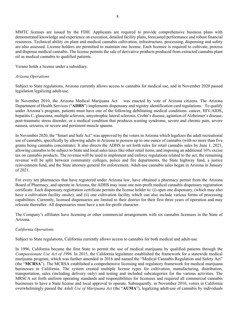MMTC licenses are issued by the FDH. Applicants are required to provide comprehensive business plans with demonstrated knowledge and experience on execution, detailed facility plans, forecasted performance and robust financial resources. Technical ability on plant and medical cannabis cultivation, infrastructure, processing, dispensing and safety are also assessed. License holders are permitted to maintain one license. Each licensee is required to cultivate, process and dispense medical cannabis. The license permits the sale of derivative products produced from extracted cannabis plant oil as medical cannabis to qualified patients.

Verano holds a license under a subsidiary.

# *Arizona Operations*

Subject to State regulations, Arizona currently allows access to cannabis for medical use, and in November 2020 passed legislation legalizing adult-use.

In November 2010, the Arizona Medical Marijuana Act was enacted by vote of Arizona citizens. The Arizona Department of Health Services ("**ADHS**") implements dispensary and registry identification card regulations. To qualify under Arizona's program, patients must have one of the following debilitating medical conditions: cancer, HIV/AIDS, hepatitis C, glaucoma, multiple sclerosis, amyotrophic lateral sclerosis, Crohn's disease, agitation of Alzheimer's disease, post-traumatic stress disorder, or a medical condition that produces wasting syndrome, severe and chronic pain, severe nausea, seizures, or severe and persistent muscle spasms.

In November 2020, the "Smart and Safe Act" was approved by the voters in Arizona which legalizes the adult recreational use of cannabis, specifically by allowing adults in Arizona to possess up to one ounce of cannabis (with no more than five grams being cannabis concentrate). It also directs the ADHS to set forth rules for retail cannabis sales by June 1, 2021, allowing cannabis to be subject to State and local sales taxes like other retail items, and imposing an additional 16% excise tax on cannabis products. The revenue will be used to implement and enforce regulations related to the act; the remaining revenue will be split between community colleges, police and fire departments, the State highway fund, a justice reinvestment fund, and the State attorney general for enforcement. Adult-use cannabis sales began in Arizona in January of 2021.

For every ten pharmacies that have registered under Arizona law, have obtained a pharmacy permit from the Arizona Board of Pharmacy, and operate in Arizona, the ADHS may issue one non-profit medical cannabis dispensary registration certificate. Each dispensary registration certificate permits the license holder to: (i) open one dispensary, (which may also have a cultivation facility onsite); and (ii) one cultivation facility which can also include various forms of processing capabilities. Currently, licensed dispensaries are limited to their district for their first three years of operation and may relocate thereafter. All dispensaries must have a not-for-profit character.

The Company's affiliates have licensing or other commercial arrangements with six cannabis licensees in the State of Arizona.

# *California Operations*

Subject to State regulations, California currently allows access to cannabis for both medical and adult-use.

In 1996, California became the first State to permit the use of medical marijuana by qualified patients through the *Compassionate Use Act of 1996.* In 2015, the California legislature established the framework for a statewide medical marijuana program, which was further amended in 2016 and named the "Medical Cannabis Regulation and Safety Act" (the "**MCRSA**"). The MCRSA established a comprehensive licensing and regulatory framework for medical marijuana businesses in California. The system created multiple license types for cultivation, manufacturing, distribution, transportation, sales (including delivery only) and testing and included subcategories for the various activities. The MRSCA set forth uniform operating standards and responsibilities for licensees and required all commercial cannabis businesses to have a State license and local approval to operate. Subsequently, in November 2016, voters in California overwhelmingly passed the *Adult Use of Marijuana Act* (the "**AUMA**"), legalizing adult-use of cannabis by individuals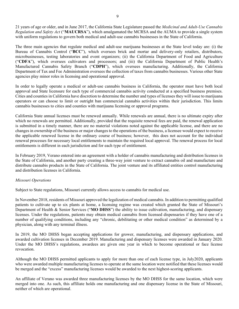21 years of age or older, and in June 2017, the California State Legislature passed the *Medicinal and Adult-Use Cannabis Regulation and Safety Act* ("**MAUCRSA**"), which amalgamated the MCRSA and the AUMA to provide a single system with uniform regulations to govern both medical and adult-use cannabis businesses in the State of California.

The three main agencies that regulate medical and adult-use marijuana businesses at the State level today are: (i) the Bureau of Cannabis Control ("**BCC**"), which oversees brick and mortar and delivery-only retailers, distributors, microbusinesses, testing laboratories and event organizers; (ii) the California Department of Food and Agriculture ("**CDFA**"), which oversees cultivators and processors; and (iii) the California Department of Public Health's Manufactured Cannabis Safety Branch ("**CDPH**"), which oversees manufacturing. Additionally, the California Department of Tax and Fee Administration oversees the collection of taxes from cannabis businesses. Various other State agencies play minor roles in licensing and operational approval.

In order to legally operate a medical or adult-use cannabis business in California, the operator must have both local approval and State licensure for each type of commercial cannabis activity conducted at a specified business premises. Cities and counties in California have discretion to determine the number and types of licenses they will issue to marijuana operators or can choose to limit or outright ban commercial cannabis activities within their jurisdiction. This limits cannabis businesses to cities and counties with marijuana licensing or approval programs.

California State annual licenses must be renewed annually. While renewals are annual, there is no ultimate expiry after which no renewals are permitted. Additionally, provided that the requisite renewal fees are paid, the renewal application is submitted in a timely manner, there are no material violations noted against the applicable license, and there are no changes in ownership of the business or major changes to the operations of the business, a licensee would expect to receive the applicable renewed license in the ordinary course of business; however, this does not account for the individual renewal processes for necessary local entitlements to maintain the required local approval. The renewal process for local entitlements is different in each jurisdiction and for each type of entitlement.

In February 2019, Verano entered into an agreement with a holder of cannabis manufacturing and distribution licenses in the State of California, and another party creating a three-way joint venture to extract cannabis oil and manufacture and distribute cannabis products in the State of California. The joint venture and its affiliated entities control manufacturing and distribution licenses in California.

# *Missouri Operations*

Subject to State regulations, Missouri currently allows access to cannabis for medical use.

In November 2018, residents of Missouri approved the legalization of medical cannabis. In addition to permitting qualified patients to cultivate up to six plants at home, a licensing regime was created which granted the State of Missouri's Department of Health & Senior Services ("**MO DHSS**") the ability to issue cultivation, manufacturing, and dispensary licenses. Under the regulations, patients may obtain medical cannabis from licensed dispensaries if they have one of a number of qualifying conditions, including any "chronic, debilitating or other medical condition" as determined by a physician, along with any terminal illness.

In 2019, the MO DHSS began accepting applications for grower, manufacturing, and dispensary applications, and awarded cultivation licenses in December 2019. Manufacturing and dispensary licenses were awarded in January 2020. Under the MO DHSS's regulations, awardees are given one year in which to become operational or face license revocation.

Although the MO DHSS permitted applicants to apply for more than one of each license type, in July2020, applicants who were awarded multiple manufacturing licenses to operate at the same location were notified that these licenses would be merged and the "excess" manufacturing licenses would be awarded to the next highest-scoring applicants.

An affiliate of Verano was awarded three manufacturing licenses by the MO DHSS for the same location, which were merged into one. As such, this affiliate holds one manufacturing and one dispensary license in the State of Missouri, neither of which are operational.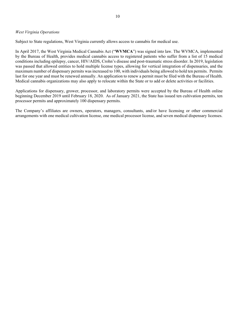# *West Virginia Operations*

Subject to State regulations, West Virginia currently allows access to cannabis for medical use.

In April 2017, the West Virginia Medical Cannabis Act ("**WVMCA**") was signed into law. The WVMCA, implemented by the Bureau of Health, provides medical cannabis access to registered patients who suffer from a list of 15 medical conditions including epilepsy, cancer, HIV/AIDS, Crohn's disease and post-traumatic stress disorder. In 2019, legislation was passed that allowed entities to hold multiple license types, allowing for vertical integration of dispensaries, and the maximum number of dispensary permits was increased to 100, with individuals being allowed to hold ten permits. Permits last for one year and must be renewed annually. An application to renew a permit must be filed with the Bureau of Health. Medical cannabis organizations may also apply to relocate within the State or to add or delete activities or facilities.

Applications for dispensary, grower, processor, and laboratory permits were accepted by the Bureau of Health online beginning December 2019 until February 18, 2020. As of January 2021, the State has issued ten cultivation permits, ten processor permits and approximately 100 dispensary permits.

The Company's affiliates are owners, operators, managers, consultants, and/or have licensing or other commercial arrangements with one medical cultivation license, one medical processor license, and seven medical dispensary licenses.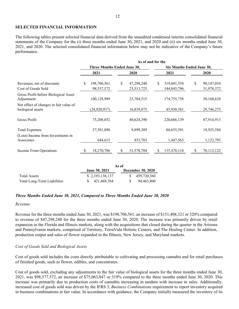# **SELECTED FINANCIAL INFORMATION**

The following tables present selected financial data derived from the unaudited condensed interim consolidated financial statements of the Company for the (i) three months ended June 30, 2021, and 2020 and (ii) six months ended June 30, 2021, and 2020. The selected consolidated financial information below may not be indicative of the Company's future performance.

|                                                             | As of and for the           |                  |                           |                  |  |
|-------------------------------------------------------------|-----------------------------|------------------|---------------------------|------------------|--|
|                                                             | Three Months Ended June 30, |                  | Six Months Ended June 30, |                  |  |
|                                                             | 2021                        | 2020             | 2021                      | 2020             |  |
| Revenues, net of discounts                                  | \$<br>198,706,561           | \$<br>47,298,240 | S<br>319,601,554          | \$<br>90,147,010 |  |
| Cost of Goods Sold                                          | 98,557,572                  | 23,513,725       | 144,845,796               | 31,978,372       |  |
| Gross Profit before Biological Asset<br>Adjustment          | 100,128,989                 | 23,784,515       | 174,755,758               | 58,168,638       |  |
| Net effect of changes in fair value of<br>biological assets | (24, 920, 937)              | 16,839,875       | 45,930,381                | 29,746,275       |  |
| Gross Profit                                                | 75,208,052                  | 40,624,390       | 220,686,139               | 87,914,913       |  |
| Total Expenses                                              | 57,581,880                  | 9,899,389        | 86,655,591                | 18,925,584       |  |
| (Loss) Income from Investments in<br>Associates             | 644,615                     | 853,703          | 1,447,563                 | 1,122,793        |  |
| Income From Operations                                      | 18,270,786                  | 31,578,704       | 135,478,110               | 70,112,122       |  |

|                             | As of                |                             |  |  |
|-----------------------------|----------------------|-----------------------------|--|--|
|                             | <b>June 30, 2021</b> | <b>December 30, 2020</b>    |  |  |
| <b>Total Assets</b>         | \$2,193,138,137      | $\frac{\$}{20}$ 459,720,360 |  |  |
| Total Long-Term Liabilities | \$421.468.764        | 94,463,800                  |  |  |

# *Three Months Ended June 30, 2021, Compared to Three Months Ended June 30, 2020*

#### *Revenue*

Revenue for the three months ended June 30, 2021, was \$198,706,561, an increase of \$151,408,321 or 320% compared to revenue of \$47,298,240 for the three months ended June 30, 2020. The increase was primarily driven by retail expansion in the Florida and Illinois markets, along with the acquisitions that closed during the quarter in the Arizona and Pennsylvania markets, comprised of Territory, TerraVida Holistic Centers, and The Healing Center. In addition, production output and sales of flower expanded in the Illinois, New Jersey, and Maryland markets.

# *Cost of Goods Sold and Biological Assets*

Cost of goods sold includes the costs directly attributable to cultivating and processing cannabis and for retail purchases of finished goods, such as flower, edibles, and concentrates.

Cost of goods sold, excluding any adjustments to the fair value of biological assets for the three months ended June 30, 2021, was \$98,577,572, an increase of \$75,063,847 or 319% compared to the three months ended June 30, 2020. This increase was primarily due to production costs of cannabis increasing in tandem with increase in sales. Additionally, increased cost of goods sold was driven by the IFRS 3, *Business Combinations* requirement to report inventory acquired in business combinations at fair value. In accordance with guidance, the Company initially measured the inventory of its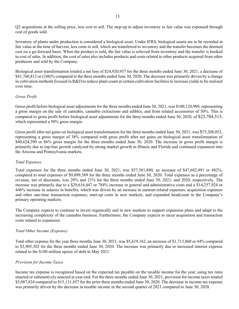Q2 acquisitions at the selling price, less cost to sell. The step-up to adjust inventory to fair value was expensed through cost of goods sold.

Inventory of plants under production is considered a biological asset. Under IFRS, biological assets are to be recorded at fair value at the time of harvest, less costs to sell, which are transferred to inventory and the transfer becomes the deemed cost on a go-forward basis. When the product is sold, the fair value is relieved from inventory and the transfer is booked to cost of sales. In addition, the cost of sales also includes products and costs related to other products acquired from other producers and sold by the Company.

Biological asset transformation totaled a net loss of \$24,920,937 for the three months ended June 30, 2021, a decrease of \$41,760,812 or (248)% compared to the three months ended June 30, 2020. The decrease was primarily driven by a change in cultivation methods focused in R&D to reduce plant count at certain cultivation facilities to increase yields to be realized over time.

# *Gross Profit*

Gross profit before biological asset adjustments for the three months ended June 30, 2021, was \$100,128,989, representing a gross margin on the sale of cannabis, cannabis extractions and edibles, and from related accessories of 50%. This is compared to gross profit before biological asset adjustments for the three months ended June 30, 2020, of \$23,784,515, which represented a 50% gross margin.

Gross profit after net gains on biological asset transformation for the three months ended June 30, 2021, was \$75,208,052, representing a gross margin of 38% compared with gross profit after net gains on biological asset transformation of \$40,624,390 or 86% gross margin for the three months ended June 30, 2020. The increase in gross profit margin is primarily due to top-line growth catalyzed by strong market growth in Illinois and Florida and continued expansion into the Arizona and Pennsylvania markets.

# *Total Expenses*

Total expenses for the three months ended June 30, 2021, was \$57,581,880, an increase of \$47,682,491 or 482%, compared to total expenses of \$9,899,389 for the three months ended June 30, 2020. Total expenses as a percentage of revenue, net of discounts, was 29% and 21% for the three months ended June 30, 2021, and 2020, respectively. The increase was primarily due to a \$29,616,447 or 784% increase in general and administrative costs and a \$14,257,924 or 446% increase in salaries in benefits, which was driven by an increase in earnout-related expenses, acquisition expenses and other one-time transaction expenses, start-up costs in new markets, and expanded headcount in the Company's primary operating markets.

The Company expects to continue to invest organically and in new markets to support expansion plans and adapt to the increasing complexity of the cannabis business. Furthermore, the Company expects to incur acquisition and transaction costs related to expansion.

# *Total Other Income (Expense)*

Total other expense for the year three months June 30, 2021, was \$5,619,162, an increase of \$1,713,860 or 44% compared to \$3,905,302 for the three months ended June 30, 2020. The increase was primarily due to increased interest expense related to the \$100 million upsize of debt in May 2021.

# *Provision for Income Taxes*

Income tax expense is recognized based on the expected tax payable on the taxable income for the year, using tax rates enacted or substantively enacted at year-end. For the three months ended June 30, 2021, provision for income taxes totaled \$5,087,824 compared to \$15,131,857 for the prior three months ended June 30, 2020. The decrease in income tax expense was primarily driven by the decrease in taxable income in the second quarter of 2021 compared to June 30, 2020.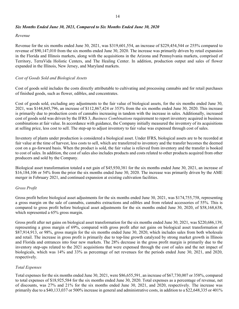# *Six Months Ended June 30, 2021, Compared to Six Months Ended June 30, 2020*

### *Revenue*

Revenue for the six months ended June 30, 2021, was \$319,601,554, an increase of \$229,454,544 or 255% compared to revenue of \$90,147,010 from the six months ended June 30, 2020. The increase was primarily driven by retail expansion in the Florida and Illinois markets, along with the acquisitions in the Arizona and Pennsylvania markets, comprised of Territory, TerraVida Holistic Centers, and The Healing Center. In addition, production output and sales of flower expanded in the Illinois, New Jersey, and Maryland markets.

# *Cost of Goods Sold and Biological Assets*

Cost of goods sold includes the costs directly attributable to cultivating and processing cannabis and for retail purchases of finished goods, such as flower, edibles, and concentrates.

Cost of goods sold, excluding any adjustments to the fair value of biological assets, for the six months ended June 30, 2021, was \$144,845,796, an increase of \$112,867,424 or 353% from the six months ended June 30, 2020. This increase is primarily due to production costs of cannabis increasing in tandem with the increase in sales. Additionally, increased cost of goods sold was driven by the IFRS 3, *Business Combinations* requirement to report inventory acquired in business combinations at fair value. In accordance with guidance, the Company initially measured the inventory of its acquisitions at selling price, less cost to sell. The step-up to adjust inventory to fair value was expensed through cost of sales.

Inventory of plants under production is considered a biological asset. Under IFRS, biological assets are to be recorded at fair value at the time of harvest, less costs to sell, which are transferred to inventory and the transfer becomes the deemed cost on a go-forward basis. When the product is sold, the fair value is relieved from inventory and the transfer is booked to cost of sales. In addition, the cost of sales also includes products and costs related to other products acquired from other producers and sold by the Company.

Biological asset transformation totaled a net gain of \$45,930,381 for the six months ended June 30, 2021, an increase of \$16,184,106 or 54% from the prior the six months ended June 30, 2020. The increase was primarily driven by the AME merger in February 2021, and continued expansion at existing cultivation facilities.

# *Gross Profit*

Gross profit before biological asset adjustments for the six months ended June 30, 2021, was \$174,755,758, representing a gross margin on the sale of cannabis, cannabis extractions and edibles and from related accessories of 55%. This is compared to gross profit before biological asset adjustments for the six months ended June 30, 2020, of \$58,168,638, which represented a 65% gross margin.

Gross profit after net gains on biological asset transformation for the six months ended June 30, 2021, was \$220,686,139, representing a gross margin of 69%, compared with gross profit after net gains on biological asset transformation of \$87,914,913, or 98%, gross margin for the six months ended June 30, 2020, which includes sales from both wholesale and retail. The increase in gross profit is primarily due to top-line growth catalyzed by strong market growth in Illinois and Florida and entrances into four new markets. The 28% decrease in the gross profit margin is primarily due to the inventory step-ups related to the 2021 acquisitions that were expensed through the cost of sales and the net impact of biologicals, which was 14% and 33% as percentage of net revenues for the periods ended June 30, 2021, and 2020, respectively.

# *Total Expenses*

Total expenses for the six months ended June 30, 2021, were \$86,655,591, an increase of \$67,730,007 or 358%, compared to total expenses of \$18,925,584 for the six months ended June 30, 2020. Total expenses as a percentage of revenue, net of discounts, was 27% and 21% for the six months ended June 30, 2021, and 2020, respectively. The increase was primarily due to a \$40,133,037 or 500% increase in general and administrative costs, in addition to a \$22,648,335 or 401%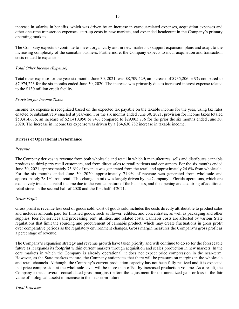increase in salaries in benefits, which was driven by an increase in earnout-related expenses, acquisition expenses and other one-time transaction expenses, start-up costs in new markets, and expanded headcount in the Company's primary operating markets.

The Company expects to continue to invest organically and in new markets to support expansion plans and adapt to the increasing complexity of the cannabis business. Furthermore, the Company expects to incur acquisition and transaction costs related to expansion.

# *Total Other Income (Expense)*

Total other expense for the year six months June 30, 2021, was \$8,709,429, an increase of \$735,206 or 9% compared to \$7,974,223 for the six months ended June 30, 2020. The increase was primarily due to increased interest expense related to the \$130 million credit facility.

#### *Provision for Income Taxes*

Income tax expense is recognized based on the expected tax payable on the taxable income for the year, using tax rates enacted or substantively enacted at year-end. For the six months ended June 30, 2021, provision for income taxes totaled \$50,414,686, an increase of \$21,410,950 or 74% compared to \$29,003,736 for the prior the six months ended June 30, 2020. The increase in income tax expense was driven by a \$64,630,782 increase in taxable income.

### **Drivers of Operational Performance**

#### *Revenue*

The Company derives its revenue from both wholesale and retail in which it manufactures, sells and distributes cannabis products to third-party retail customers, and from direct sales to retail patients and consumers. For the six months ended June 30, 2021, approximately 73.6% of revenue was generated from the retail and approximately 24.6% from wholesale. For the six months ended June 30, 2020, approximately 71.9% of revenue was generated from wholesale and approximately 28.1% from retail. This change in mix was largely driven by the Company's Florida operations, which are exclusively treated as retail income due to the vertical nature of the business, and the opening and acquiring of additional retail stores in the second half of 2020 and the first half of 2021.

#### *Gross Profit*

Gross profit is revenue less cost of goods sold. Cost of goods sold includes the costs directly attributable to product sales and includes amounts paid for finished goods, such as flower, edibles, and concentrates, as well as packaging and other supplies, fees for services and processing, rent, utilities, and related costs. Cannabis costs are affected by various State regulations that limit the sourcing and procurement of cannabis product, which may create fluctuations in gross profit over comparative periods as the regulatory environment changes. Gross margin measures the Company's gross profit as a percentage of revenue.

The Company's expansion strategy and revenue growth have taken priority and will continue to do so for the foreseeable future as it expands its footprint within current markets through acquisition and scales production in new markets. In the core markets in which the Company is already operational, it does not expect price compression in the near-term. However, as the State markets mature, the Company anticipates that there will be pressure on margins in the wholesale and retail channels. Although, the Company's current production capacity has not been fully realized and it is expected that price compression at the wholesale level will be more than offset by increased production volume. As a result, the Company expects overall consolidated gross margins (before the adjustment for the unrealized gain or loss in the fair value of biological assets) to increase in the near-term future.

# *Total Expenses*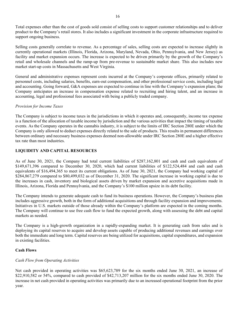Total expenses other than the cost of goods sold consist of selling costs to support customer relationships and to deliver product to the Company's retail stores. It also includes a significant investment in the corporate infrastructure required to support ongoing business.

Selling costs generally correlate to revenue. As a percentage of sales, selling costs are expected to increase slightly in currently operational markets (Illinois, Florida, Arizona, Maryland, Nevada, Ohio, Pennsylvania, and New Jersey) as facility and market expansion occurs. The increase is expected to be driven primarily by the growth of the Company's retail and wholesale channels and the ramp-up from pre-revenue to sustainable market share. This also includes new market start-up costs in Massachusetts and West Virginia.

General and administrative expenses represent costs incurred at the Company's corporate offices, primarily related to personnel costs, including salaries, benefits, earn-out compensation, and other professional service costs, including legal and accounting. Going forward, G&A expenses are expected to continue in line with the Company's expansion plans; the Company anticipates an increase in compensation expense related to recruiting and hiring talent, and an increase in accounting, legal and professional fees associated with being a publicly traded company.

# *Provision for Income Taxes*

The Company is subject to income taxes in the jurisdictions in which it operates and, consequently, income tax expense is a function of the allocation of taxable income by jurisdiction and the various activities that impact the timing of taxable events. As the Company operates in the cannabis industry, it is subject to the limits of IRC Section 280E under which the Company is only allowed to deduct expenses directly related to the sale of products. This results in permanent differences between ordinary and necessary business expenses deemed non-allowable under IRC Section 280E and a higher effective tax rate than most industries.

# **LIQUIDITY AND CAPITAL RESOURCES**

As of June 30, 2021, the Company had total current liabilities of \$287,162,801 and cash and cash equivalents of \$149,671,396 compared to December 30, 2020, which had current liabilities of \$122,524,484 and cash and cash equivalents of \$16,494,365 to meet its current obligations. As of June 30, 2021, the Company had working capital of \$284,867,279 compared to \$80,499,032 as of December 31, 2020. The significant increase in working capital is due to the increases in cash, inventory and biological assets driven by market expansion and accretive acquisitions made in Illinois, Arizona, Florida and Pennsylvania, and the Company's \$100 million upsize in its debt facility.

The Company intends to generate adequate cash to fund its business operations. However, the Company's business plan includes aggressive growth, both in the form of additional acquisitions and through facility expansion and improvements. Initiatives in U.S. markets outside of those already within the Company's platform are expected in the coming months. The Company will continue to use free cash flow to fund the expected growth, along with assessing the debt and capital markets as needed.

The Company is a high-growth organization in a rapidly-expanding market. It is generating cash from sales and is deploying its capital reserves to acquire and develop assets capable of producing additional revenues and earnings over both the immediate and long term. Capital reserves are being utilized for acquisitions, capital expenditures, and expansion in existing facilities.

# **Cash Flows**

# *Cash Flow from Operating Activities*

Net cash provided in operating activities was \$65,623,789 for the six months ended June 30, 2021, an increase of \$22,910,582 or 54%, compared to cash provided of \$42,713,207 million for the six months ended June 30, 2020. The increase in net cash provided in operating activities was primarily due to an increased operational footprint from the prior year.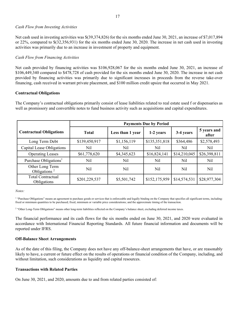# *Cash Flow from Investing Activities*

Net cash used in investing activities was \$(39,374,826) for the six months ended June 30, 2021, an increase of \$7,017,894 or 22%, compared to \$(32,356,931) for the six months ended June 30, 2020. The increase in net cash used in investing activities was primarily due to an increase in investment of property and equipment.

# *Cash Flow from Financing Activities*

Net cash provided by financing activities was \$106,928,067 for the six months ended June 30, 2021, an increase of \$106,449,340 compared to \$478,728 of cash provided for the six months ended June 30, 2020. The increase in net cash provided by financing activities was primarily due to significant increases in proceeds from the reverse take-over financing, cash received in warrant private placement, and \$100 million credit upsize that occurred in May 2021.

# **Contractual Obligations**

The Company's contractual obligations primarily consist of lease liabilities related to real estate used f or dispensaries as well as promissory and convertible notes to fund business activity such as acquisitions and capital expenditures.

|                                             | <b>Payments Due by Period</b> |                  |                 |                 |                      |  |
|---------------------------------------------|-------------------------------|------------------|-----------------|-----------------|----------------------|--|
| <b>Contractual Obligations</b>              | <b>Total</b>                  | Less than 1 year | 1-2 years       | 3-4 years       | 5 years and<br>after |  |
| Long Term Debt                              | \$139,450,917                 | \$1,156,119      | \$135,351,818   | \$364,486       | \$2,578,493          |  |
| Capital Lease Obligations                   | Nil                           | N <sub>il</sub>  | Nil             | Nil             | Nil                  |  |
| <b>Operating Leases</b>                     | \$61,778,620                  | \$4,345,623      | \$16,824,141    | \$14,210,045    | \$26,398,811         |  |
| Purchase Obligations <sup>1</sup>           | Nil                           | N <sub>il</sub>  | N <sub>il</sub> | N <sub>il</sub> | N <sub>il</sub>      |  |
| Other Long Term<br>Obligations <sup>2</sup> | Nil                           | Nil              | Nil             | N <sub>il</sub> | Nil                  |  |
| <b>Total Contractual</b><br>Obligations     | \$201,229,537                 | \$5,501,742      | \$152,175,959   | \$14,574,531    | \$28,977,304         |  |

*Notes:* 

<sup>1</sup> "Purchase Obligations" means an agreement to purchase goods or services that is enforceable and legally binding on the Company that specifies all significant terms, including: fixed or minimum quantities to be purchased; fixed, minimum or variable price considerations; and the approximate timing of the transaction.

<sup>2</sup> "Other Long-Term Obligations" means other long-term liabilities reflected on the Company's balance sheet, excluding deferred income taxes.

The financial performance and its cash flows for the six months ended on June 30, 2021, and 2020 were evaluated in accordance with International Financial Reporting Standards. All future financial information and documents will be reported under IFRS.

#### **Off-Balance Sheet Arrangements**

As of the date of this filing, the Company does not have any off-balance-sheet arrangements that have, or are reasonably likely to have, a current or future effect on the results of operations or financial condition of the Company, including, and without limitation, such considerations as liquidity and capital resources.

# **Transactions with Related Parties**

On June 30, 2021, and 2020, amounts due to and from related parties consisted of: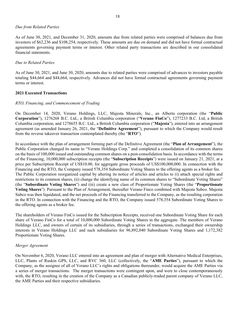# *Due from Related Parties*

As of June 30, 2021, and December 31, 2020, amounts due from related parties were comprised of balances due from investors of \$62,236 and \$108,254, respectively. These amounts are due on demand and did not have formal contractual agreements governing payment terms or interest. Other related party transactions are described in our consolidated financial statements.

#### *Due to Related Parties*

As of June 30, 2021, and June 30, 2020, amounts due to related parties were comprised of advances to investors payable totaling \$44,664 and \$44,664, respectively. Advances did not have formal contractual agreements governing payment terms or interest.

### **2021 Executed Transactions**

### *RTO, Financing, and Commencement of Trading*

On December 14, 2020, Verano Holdings, LLC, Majesta Minerals, Inc., an Alberta corporation (the "**Public Corporation**"), 1276268 B.C. Ltd., a British Columbia corporation ("**Verano FinCo**"), 1277233 B.C. Ltd, a British Columbia corporation, and 1278655 B.C. Ltd., a British Columbia corporation ("**Majesta**"), entered into an arrangement agreement (as amended January 26, 2021, the "**Definitive Agreement**"), pursuant to which the Company would result from the reverse takeover transaction contemplated thereby (the "**RTO**").

In accordance with the plan of arrangement forming part of the Definitive Agreement (the "**Plan of Arrangement**"), the Public Corporation changed its name to "Verano Holdings Corp." and completed a consolidation of its common shares on the basis of 100,000 issued and outstanding common shares on a post-consolidation basis. In accordance with the terms of the Financing, 10,000,000 subscription receipts (the "**Subscription Receipts**") were issued on January 21, 2021, at a price per Subscription Receipt of US\$10.00, for aggregate gross proceeds of US\$100,000,000. In connection with the Financing and the RTO, the Company issued 578,354 Subordinate Voting Shares to the offering agents as a broker fee. The Public Corporation reorganized capital by altering its notice of articles and articles to (i) attach special rights and restrictions to its common shares, (ii) change the identifying name of its common shares to "Subordinate Voting Shares" (the "**Subordinate Voting Shares**") and (iii) create a new class of Proportionate Voting Shares (the "**Proportionate Voting Shares**"). Pursuant to the Plan of Arrangement, thereafter Verano Finco combined with Majesta Subco. Majesta Subco was then liquidated, and the net proceeds of the Financing transferred to the Company, as the resulting corporation in the RTO. In connection with the Financing and the RTO, the Company issued 578,354 Subordinate Voting Shares to the offering agents as a broker fee.

The shareholders of Verano FinCo issued for the Subscription Receipts, received one Subordinate Voting Share for each share of Verano FinCo for a total of 10,000,000 Subordinate Voting Shares in the aggregate. The members of Verano Holdings LLC, and owners of certain of its subsidiaries, through a series of transactions, exchanged their ownership interests in Verano Holdings LLC and such subsidiaries for 96,892,040 Subordinate Voting Shares and 1,172,382 Proportionate Voting Shares.

#### *Merger Agreement*

On November 6, 2020, Verano LLC entered into an agreement and plan of merger with Alternative Medical Enterprises, LLC, Plants of Ruskin GPS, LLC, and RVC 360, LLC (collectively, the "**AME Parties**"), pursuant to which the Company, as the assignee of all of Verano LLC's rights and obligations thereunder, would acquire the AME Parties via a series of merger transactions. The merger transactions were contingent upon, and were to close contemporaneously with, the RTO, resulting in the creation of the Company as a Canadian publicly-traded parent company of Verano LLC, the AME Parties and their respective subsidiaries.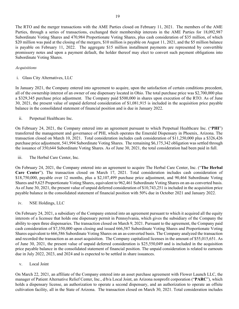The RTO and the merger transactions with the AME Parties closed on February 11, 2021. The members of the AME Parties, through a series of transactions, exchanged their membership interests in the AME Parties for 18,092,987 Subordinate Voting Shares and 470,984 Proportionate Voting Shares, plus cash consideration of \$35 million, of which \$20 million was paid at the closing of the mergers, \$10 million is payable on August 11, 2021, and the \$5 million balance is payable on February 11, 2022. The aggregate \$15 million installment payments are represented by convertible promissory notes and upon a payment default, the holder thereof may elect to convert such payment obligations into Subordinate Voting Shares.

# *Acquisitions*

i. Glass City Alternatives, LLC

In January 2021, the Company entered into agreement to acquire, upon the satisfaction of certain conditions precedent, all of the ownership interest of an owner of one dispensary located in Ohio. The total purchase price was \$2,700,000 plus a \$329,345 purchase price adjustment. The Company paid \$500,000 in shares upon execution of the RTO. As of June 30, 2021, the present value of unpaid deferred consideration of \$1,081,915 is included in the acquisition price payable balance in the consolidated statement of financial position and is due in January 2022.

ii. Perpetual Healthcare Inc.

On February 24, 2021, the Company entered into an agreement pursuant to which Perpetual Healthcare Inc. ("**PHI**") transferred the management and governance of PHI, which operates the Emerald Dispensary in Phoenix, Arizona. The transaction closed on March 10, 2021. Total consideration includes cash consideration of \$11,250,000 plus a \$326,426 purchase price adjustment, 541,994 Subordinate Voting Shares. The remaining \$6,175,342 obligation was settled through the issuance of 350,644 Subordinate Voting Shares. As of June 30, 2021, the total consideration had been paid in full.

iii. The Herbal Care Center, Inc.

On February 24, 2021, the Company entered into an agreement to acquire The Herbal Care Center, Inc. ("**The Herbal Care Center**"). The transaction closed on March 17, 2021. Total consideration includes cash consideration of \$18,750,000, payable over 12 months, plus a \$2,107,499 purchase price adjustment, and 90,464 Subordinate Voting Shares and 9,625 Proportionate Voting Shares, equivalent to 962,461 Subordinate Voting Shares on an-as converted basis. As of June 30, 2021, the present value of unpaid deferred consideration of \$10,743,251 is included in the acquisition price payable balance in the consolidated statement of financial position with 50% due in October 2021 and January 2022.

iv. NSE Holdings, LLC

On February 24, 2021, a subsidiary of the Company entered into an agreement pursuant to which it acquired all the equity interests of a licensee that holds one dispensary permit in Pennsylvania, which gives the subsidiary of the Company the ability to open three dispensaries. The transaction closed on March 9, 2021. Pursuant to the agreement, the Company paid cash consideration of \$7,350,000 upon closing and issued 666,587 Subordinate Voting Shares and Proportionate Voting Shares equivalent to 666,586 Subordinate Voting Shares on an as-converted basis. The Company analyzed the transaction and recorded the transaction as an asset acquisition. The Company capitalized licenses in the amount of \$55,015,651. As of June 30, 2021, the present value of unpaid deferred consideration is \$25,550,049 and is included in the acquisition price payable balance in the consolidated statement of financial position. The unpaid consideration is related to earnouts due in July 2022, 2023, and 2024 and is expected to be settled in share issuances.

v. Local Joint

On March 22, 2021, an affiliate of the Company entered into an asset purchase agreement with Flower Launch LLC, the manager of Patient Alternative Relief Center, Inc., d/b/a Local Joint, an Arizona nonprofit corporation ("**PARC**"), which holds a dispensary license, an authorization to operate a second dispensary, and an authorization to operate an offsite cultivation facility, all in the State of Arizona. The transaction closed on March 30, 2021. Total consideration includes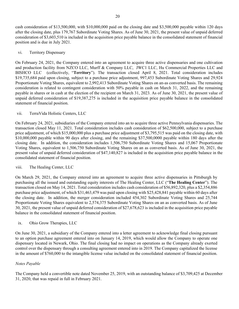cash consideration of \$13,500,000, with \$10,000,000 paid on the closing date and \$3,500,000 payable within 120 days after the closing date, plus 179,767 Subordinate Voting Shares. As of June 30, 2021, the present value of unpaid deferred consideration of \$3,603,510 is included in the acquisition price payable balance in the consolidated statement of financial position and is due in July 2021.

# vi. Territory Dispensary

On February 24, 2021, the Company entered into an agreement to acquire three active dispensaries and one cultivation and production facility from NZCO LLC, Murff & Company LLC, JWC1 LLC, Hu Commercial Properties LLC and BISHCO LLC (collectively, "**Territory**"). The transaction closed April 8, 2021. Total consideration includes \$19,735,684 paid upon closing, subject to a purchase price adjustment, 997,453 Subordinate Voting Shares and 29,924 Proportionate Voting Shares, equivalent to 2,992,413 Subordinate Voting Shares on an-as converted basis. The remaining consideration is related to contingent consideration with 50% payable in cash on March 31, 2022, and the remaining payable in shares or in cash at the election of the recipient on March 31, 2023. As of June 30, 2021, the present value of unpaid deferred consideration of \$19,387,275 is included in the acquisition price payable balance in the consolidated statement of financial position.

# vii. TerraVida Holistic Centers, LLC

On February 24, 2021, subsidiaries of the Company entered into an to acquire three active Pennsylvania dispensaries. The transaction closed May 11, 2021. Total consideration includes cash consideration of \$62,500,000, subject to a purchase price adjustment, of which \$15,000,000 plus a purchase price adjustment of \$3,795,515 was paid on the closing date, with \$10,000,000 payable within 90 days after closing, and the remaining \$37,500,0000 payable within 180 days after the closing date. In addition, the consideration includes 1,506,750 Subordinate Voting Shares and 15,067 Proportionate Voting Shares, equivalent to 1,506,750 Subordinate Voting Shares on an as converted basis. As of June 30, 2021, the present value of unpaid deferred consideration of \$47,140,827 is included in the acquisition price payable balance in the consolidated statement of financial position.

# viii. The Healing Center, LLC

On March 29, 2021, the Company entered into an agreement to acquire three active dispensaries in Pittsburgh by purchasing all the issued and outstanding equity interests of The Healing Center, LLC ("**The Healing Center**"). The transaction closed on May 14, 2021. Total consideration includes cash consideration of \$56,892,320, plus a \$2,354,886 purchase price adjustment, of which \$31,463,479 was paid upon closing with \$25,428,841 payable within 60 days after the closing date. In addition, the merger consideration included 454,302 Subordinate Voting Shares and 25,744 Proportionate Voting Shares equivalent to 2,574,375 Subordinate Voting Shares on an as converted basis. As of June 30, 2021, the present value of unpaid deferred consideration of \$27,678,623 is included in the acquisition price payable balance in the consolidated statement of financial position.

ix. Ohio Grow Therapies, LLC

On June 30, 2021, a subsidiary of the Company entered into a letter agreement to acknowledge final closing pursuant to an option purchase agreement entered into on January 14, 2019, which would allow the Company to operate one dispensary located in Newark, Ohio. The final closing had no impact on operations as the Company already exerted control over the dispensary through a consulting agreement entered into in 2019. The Company capitalized the license in the amount of \$760,000 to the intangible license value included on the consolidated statement of financial position.

# *Notes Payable*

The Company held a convertible note dated November 25, 2019, with an outstanding balance of \$3,709,425 at December 31, 2020, that was repaid in full in February 2021.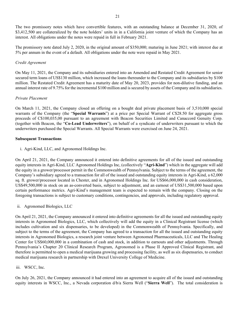The two promissory notes which have convertible features, with an outstanding balance at December 31, 2020, of \$3,412,500 are collateralized by the note holders' units in in a California joint venture of which the Company has an interest. All obligations under the notes were repaid in full in February 2021.

The promissory note dated July 2, 2020, in the original amount of \$350,000; maturing in June 2021; with interest due at 5% per annum in the event of a default. All obligations under the note were repaid in May 2021.

# *Credit Agreement*

On May 11, 2021, the Company and its subsidiaries entered into an Amended and Restated Credit Agreement for senior secured term loans of US\$130 million, which increased the loans thereunder to the Company and its subsidiaries by \$100 million. The Restated Credit Agreement has a maturity date of May 20, 2023, provides for non-dilutive funding, and an annual interest rate of 9.75% for the incremental \$100 million and is secured by assets of the Company and its subsidiaries.

# *Private Placement*

On March 11, 2021, the Company closed an offering on a bought deal private placement basis of 3,510,000 special warrants of the Company (the "**Special Warrants**") at a price per Special Warrant of C\$28.50 for aggregate gross proceeds of C\$100,035,00 pursuant to an agreement with Beacon Securities Limited and Canaccord Genuity Corp. (together with Beacon, the "**Co-Lead Underwriters**"), on behalf of a syndicate of underwriters pursuant to which the underwriters purchased the Special Warrants. All Special Warrants were exercised on June 24, 2021.

# **Subsequent Transactions**

i. Agri-Kind, LLC, and Agronomed Holdings Inc.

On April 21, 2021, the Company announced it entered into definitive agreements for all of the issued and outstanding equity interests in Agri-Kind, LLC Agronomed Holdings Inc, (collectively "**Agri-Kind**") which in the aggregate will add the equity in a grower/processor permit in the Commonwealth of Pennsylvania. Subject to the terms of the agreement, the Company's subsidiary agreed to a transaction for all of the issued and outstanding equity interests in Agri-Kind, a 62,000 sq. ft. grower/processor located in Chester, and in Agronomed Holdings Inc. for US\$66,000,000 in cash consideration, US\$49,500,000 in stock on an as-converted basis, subject to adjustment, and an earnout of US\$31,500,000 based upon certain performance metrics. Agri-Kind's management team is expected to remain with the company. Closing on the foregoing transactions is subject to customary conditions, contingencies, and approvals, including regulatory approval.

ii. Agronomed Biologics, LLC

On April 21, 2021, the Company announced it entered into definitive agreements for all the issued and outstanding equity interests in Agronomed Biologics, LLC, which collectively will add the equity in a Clinical Registrant license (which includes cultivation and six dispensaries, to be developed) in the Commonwealth of Pennsylvania. Specifically, and subject to the terms of the agreement, the Company has agreed to a transaction for all the issued and outstanding equity interests in Agronomed Biologics, a research joint venture between Agronomed Pharmaceuticals, LLC and The Healing Center for US\$60,000,000 in a combination of cash and stock, in addition to earnouts and other adjustments. Through Pennsylvania's Chapter 20 Clinical Research Program, Agronomed is a Phase II Approved Clinical Registrant, and therefore is permitted to open a medical marijuana growing and processing facility, as well as six dispensaries, to conduct medical marijuana research in partnership with Drexel University College of Medicine.

# iii. WSCC, Inc.

On July 26, 2021, the Company announced it had entered into an agreement to acquire all of the issued and outstanding equity interests in WSCC, Inc., a Nevada corporation d/b/a Sierra Well ("**Sierra Well**"). The total consideration is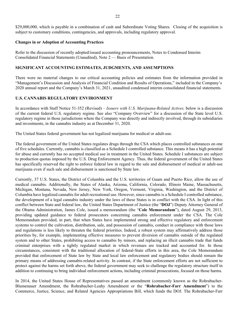\$29,000,000, which is payable in a combination of cash and Subordinate Voting Shares. Closing of the acquisition is subject to customary conditions, contingencies, and approvals, including regulatory approval.

### **Changes in or Adoption of Accounting Practices**

Refer to the discussion of recently adopted/issued accounting pronouncements, Notes to Condensed Interim Consolidated Financial Statements (Unaudited), Note 2 — Basis of Presentation.

# **SIGNIFICANT ACCOUNTING ESTIMATES, JUDGMENTS, AND ASSUMPTIONS**

There were no material changes to our critical accounting policies and estimates from the information provided in "Management's Discussion and Analysis of Financial Condition and Results of Operations," included in the Company's 2020 annual report and the Company's March 31, 2021, unaudited condensed interim consolidated financial statements.

# **U.S. CANNABIS REGULATORY ENVIRONMENT**

In accordance with Staff Notice 51-352 (Revised) – *Issuers with U.S. Marijuana-Related Actives,* below is a discussion of the current federal U.S. regulatory regime. See also "Company Overview" for a discussion of the State level U.S. regulatory regime in those jurisdictions where the Company was directly and indirectly involved, through its subsidiaries and investments, in the cannabis industry as at December 31, 2020.

The United States federal government has not legalized marijuana for medical or adult-use.

The federal government of the United States regulates drugs through the CSA which places controlled substances on one of five schedules. Currently, cannabis is classified as a Schedule I controlled substance. This means it has a high potential for abuse and currently has no accepted medical use in treatment in the United States. Schedule I substances are subject to production quotas imposed by the U.S. Drug Enforcement Agency. Thus, the federal government of the United States has specifically reserved the right to enforce federal law in regard to the sale and disbursement of medical or adult-use marijuana even if such sale and disbursement is sanctioned by State law.

Currently, 37 U.S. States, the District of Columbia and the U.S. territories of Guam and Puerto Rico, allow the use of medical cannabis. Additionally, the States of Alaska, Arizona, California, Colorado, Illinois Maine, Massachusetts, Michigan, Montana, Nevada, New Jersey, New York, Oregon, Vermont, Virginia, Washington, and the District of Columbia have legalized cannabis for adult recreational use. However, since cannabis is a Schedule I controlled substance, the development of a legal cannabis industry under the laws of these States is in conflict with the CSA. In light of this conflict between State and federal law, the United States Department of Justice (the "**DOJ**") Deputy Attorney General of the Obama Administration, James Cole, issued a memorandum (the "**Cole Memorandum**"), dated August 29, 2013, providing updated guidance to federal prosecutors concerning cannabis enforcement under the CSA. The Cole Memorandum provided, in part, that when States have implemented strong and effective regulatory and enforcement systems to control the cultivation, distribution, sale, and possession of cannabis, conduct in compliance with those laws and regulations is less likely to threaten the federal priorities. Indeed, a robust system may affirmatively address those priorities by, for example, implementing effective measures to prevent diversion of cannabis outside of the regulated system and to other States, prohibiting access to cannabis by minors, and replacing an illicit cannabis trade that funds criminal enterprises with a tightly regulated market in which revenues are tracked and accounted for. In those circumstances, consistent with the traditional allocation of federal-State efforts in this area, the Cole Memorandum provided that enforcement of State law by State and local law enforcement and regulatory bodies should remain the primary means of addressing cannabis-related activity. In contrast, if the State enforcement efforts are not sufficient to protect against the harms set forth above, the federal government may seek to challenge the regulatory structure itself in addition to continuing to bring individual enforcement actions, including criminal prosecutions, focused on those harms.

In 2014, the United States House of Representatives passed an amendment (commonly known as the Rohrabacher-Blumenauer Amendment, the Rohrabacher-Leahy Amendment or the "**Rohrabacher-Farr Amendment**") to the Commerce, Justice, Science, and Related Agencies Appropriations Bill, which funds the DOJ. The Rohrabacher-Farr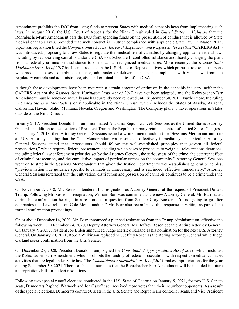Amendment prohibits the DOJ from using funds to prevent States with medical cannabis laws from implementing such laws. In August 2016, the U.S. Court of Appeals for the Ninth Circuit ruled in *United States v. McIntosh* that the Rohrabacher-Farr Amendment bars the DOJ from spending funds on the prosecution of conduct that is allowed by State medical cannabis laws, provided that such conduct is in strict compliance with applicable State law. In March 2015, bipartisan legislation titled the *Compassionate Access, Research Expansion, and Respect States Act* (the "**CARERS Act**") was introduced, proposing to allow States to regulate the medical use of cannabis by changing applicable federal law, including by reclassifying cannabis under the CSA to a Schedule II controlled substance and thereby changing the plant from a federally-criminalized substance to one that has recognized medical uses. More recently, the *Respect State Marijuana Laws Act of 2017* has been introduced in the U.S. House of Representatives, which proposes to exclude persons who produce, possess, distribute, dispense, administer or deliver cannabis in compliance with State laws from the regulatory controls and administrative, civil and criminal penalties of the CSA.

Although these developments have been met with a certain amount of optimism in the cannabis industry, neither the CARERS Act nor the *Respect State Marijuana Laws Act of 2017* have yet been adopted, and the Rohrabacher-Farr Amendment must be renewed annually and has currently been renewed until September 30, 2019. Furthermore, the ruling in *United States v. McIntosh* is only applicable in the Ninth Circuit, which includes the States of Alaska, Arizona, California, Hawaii, Idaho, Montana, Nevada, Oregon and Washington. The Company plans to have, operations in States outside of the Ninth Circuit.

In early 2017, President Donald J. Trump nominated Alabama Republican Jeff Sessions as the United States Attorney General. In addition to the election of President Trump, the Republican party retained control of United States Congress. On January 4, 2018, then Attorney General Sessions issued a written memorandum (the "**Sessions Memorandum**") to all U.S. Attorneys stating that the Cole Memorandum was rescinded, effectively immediately. In particular, Attorney General Sessions stated that "prosecutors should follow the well-established principles that govern all federal prosecutions," which require "federal prosecutors deciding which cases to prosecute to weigh all relevant considerations, including federal law enforcement priorities set by the Attorney General, the seriousness of the crime, the deterrent effect of criminal prosecution, and the cumulative impact of particular crimes on the community." Attorney General Sessions went on to state in the Sessions Memorandum that given the Justice Department's well-established general principles, "previous nationwide guidance specific to cannabis is unnecessary and is rescinded, effective immediately." Attorney General Sessions reiterated that the cultivation, distribution and possession of cannabis continues to be a crime under the CSA.

On November 7, 2018, Mr. Sessions tendered his resignation as Attorney General at the request of President Donald Trump. Following Mr. Sessions' resignation, William Barr was confirmed as the new Attorney General. Mr. Barr stated during his confirmation hearings in a response to a question from Senator Cory Booker, "I'm not going to go after companies that have relied on Cole Memorandum." Mr. Barr also reconfirmed this response in writing as part of the formal confirmation proceedings.

On or about December 14, 2020, Mr. Barr announced a planned resignation from the Trump administration, effective the following week. On December 24, 2020, Deputy Attorney General Mr. Jeffrey Rosen became Acting Attorney General. On January 7, 2021, President Joe Biden announced Judge Merrick Garland as his nomination for the next U.S. Attorney General. On January 20, 2021, Robert Wilkinson replaced Mr. Jeffrey Rosen as the Acting Attorney General while Judge Garland seeks confirmation from the U.S. Senate.

On December 27, 2020, President Donald Trump signed the *Consolidated Appropriations Act of 2021*, which included the Rohrabacher-Farr Amendment, which prohibits the funding of federal prosecutions with respect to medical cannabis activities that are legal under State law. The *Consolidated Appropriations Act of 2021* makes appropriations for the year ending September 30, 2021. There can be no assurances that the Rohrabacher-Farr Amendment will be included in future appropriations bills or budget resolutions.

Following two special runoff elections conducted in the U.S. State of Georgia on January 5, 2021, for two U.S. Senate seats, Democrats Raphael Warnock and Jon Ossoff each received more votes than their incumbent opponents. As a result of the special elections, Democrats control 50 seats in the U.S. Senate and Republicans control 50 seats, and Vice President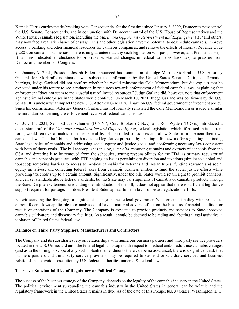Kamala Harris carries the tie-breaking vote. Consequently, for the first time since January 3, 2009, Democrats now control the U.S. Senate. Consequently, and in conjunction with Democrat control of the U.S. House of Representatives and the White House, cannabis legislation, including the *Marijuana Opportunity Reinvestment and Expungement Act* and others, may now face a realistic chance of passage. This and other legislation have the potential to deschedule cannabis, improve access to banking and other financial resources for cannabis companies, and remove the effects of Internal Revenue Code § 280E on cannabis businesses. There is no guarantee that any such legislation will pass, however, and President Joseph Biden has indicated a reluctance to prioritize substantial changes in federal cannabis laws despite pressure from Democratic members of Congress.

On January 7, 2021, President Joseph Biden announced his nomination of Judge Merrick Garland as U.S. Attorney General. Mr. Garland's nomination was subject to confirmation by the United States Senate. During confirmation hearings, Judge Garland did not confirm whether he would reinstate the Cole Memorandum, but did explain that he expected under his tenure to see a reduction in resources towards enforcement of federal cannabis laws, explaining that enforcement "does not seem to me a useful use of limited resources." Judge Garland did, however, note that enforcement against criminal enterprises in the States would continue. On March 10, 2021, Judge Garland was confirmed by the U.S. Senate. It is unclear what impact the new U.S. Attorney General will have on U.S. federal government enforcement policy. Since his confirmation, Attorney General Garland has not formally reinstated the Cole Memorandum or issued a similar memorandum concerning the enforcement *vel non* of federal cannabis laws.

On July 14, 2021, Sens. Chuck Schumer (D-N.Y.), Cory Booker (D-N.J.), and Ron Wyden (D-Ore.) introduced a discussion draft of the *Cannabis Administration and Opportunity Act*, federal legislation which, if passed in its current form, would remove cannabis from the federal list of controlled substances and allow States to implement their own cannabis laws. The draft bill sets forth a detailed legislative proposal by creating a framework for regulating and taxing State legal sales of cannabis and addressing social equity and justice goals, and conforming necessary laws consistent with both of those goals. The bill accomplishes this by, *inter alia*, removing cannabis and extracts of cannabis from the CSA and directing it to be removed from the schedules; setting responsibilities for the FDA as primary regulator of cannabis and cannabis products, with TTB helping on issues pertaining to diversion and taxations (similar to alcohol and tobacco); removing barriers to access to medical cannabis for veterans and Indian tribes; funding research and social equity initiatives; and collecting federal taxes from cannabis business entities to fund the social justice efforts while providing tax credits up to a certain amount. Significantly, under the bill, States would retain right to prohibit cannabis, and can set standards above federal standards, but no State may bar shipments of cannabis or cannabis products through the State. Despite excitement surrounding the introduction of the bill, it does not appear that there is sufficient legislative support required for passage, nor does President Biden appear to be in favor of broad legalization efforts.

Notwithstanding the foregoing, a significant change in the federal government's enforcement policy with respect to current federal laws applicable to cannabis could have a material adverse effect on the business, financial condition or results of operations of the Company. The Company is expected to provide products and services to State-approved cannabis cultivators and dispensary facilities. As a result, it could be deemed to be aiding and abetting illegal activities, a violation of United States federal law.

# **Reliance on Third Party Suppliers, Manufacturers and Contractors**

The Company and its subsidiaries rely on relationships with numerous business partners and third party service providers located in the U.S. Unless and until the federal legal landscape with respect to medical and/or adult-use cannabis changes (and as to the timing or scope of any such potential amendments there can be no assurance), there is a significant risk that business partners and third party service providers may be required to suspend or withdraw services and business relationships to avoid prosecution by U.S. federal authorities under U.S. federal laws.

# **There is a Substantial Risk of Regulatory or Political Change**

The success of the business strategy of the Company, depends on the legality of the cannabis industry in the United States. The political environment surrounding the cannabis industry in the United States in general can be volatile and the regulatory framework in the United States remains in flux. As of the date of this Prospectus, 37 States, Washington, D.C.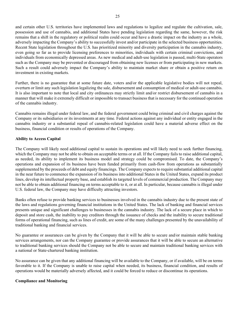and certain other U.S. territories have implemented laws and regulations to legalize and regulate the cultivation, sale, possession and use of cannabis, and additional States have pending legislation regarding the same, however, the risk remains that a shift in the regulatory or political realm could occur and have a drastic impact on the industry as a whole, adversely impacting the Company's ability to successfully invest and/or participate in the selected business opportunities. Recent State legislation throughout the U.S. has prioritized minority and diversity participation in the cannabis industry, even going so far as to provide licensing preferences to minorities, individuals with certain criminal convictions, and individuals from economically depressed areas. As new medical and adult-use legislation is passed, multi-State operators such as the Company may be prevented or discouraged from obtaining new licenses or from participating in new markets. Such a result could adversely impact the Company's ability to maintain market share or obtain a positive return on investment in existing markets.

Further, there is no guarantee that at some future date, voters and/or the applicable legislative bodies will not repeal, overturn or limit any such legislation legalizing the sale, disbursement and consumption of medical or adult-use cannabis. It is also important to note that local and city ordinances may strictly limit and/or restrict disbursement of cannabis in a manner that will make it extremely difficult or impossible to transact business that is necessary for the continued operation of the cannabis industry.

Cannabis remains illegal under federal law, and the federal government could bring criminal and civil charges against the Company or its subsidiaries or its investments at any time. Federal actions against any individual or entity engaged in the cannabis industry or a substantial repeal of cannabis-related legislation could have a material adverse effect on the business, financial condition or results of operations of the Company.

# **Ability to Access Capital**

The Company will likely need additional capital to sustain its operations and will likely need to seek further financing, which the Company may not be able to obtain on acceptable terms or at all. If the Company fails to raise additional capital, as needed, its ability to implement its business model and strategy could be compromised. To date, the Company's operations and expansion of its business have been funded primarily from cash-flow from operations as substantially supplemented by the proceeds of debt and equity financings. The Company expects to require substantial additional capital in the near future to commence the expansion of its business into additional States in the United States, expand its product lines, develop its intellectual property base, and establish its targeted levels of commercial production. The Company may not be able to obtain additional financing on terms acceptable to it, or at all. In particular, because cannabis is illegal under U.S. federal law, the Company may have difficulty attracting investors.

Banks often refuse to provide banking services to businesses involved in the cannabis industry due to the present state of the laws and regulations governing financial institutions in the United States. The lack of banking and financial services presents unique and significant challenges to businesses in the cannabis industry. The lack of a secure place in which to deposit and store cash, the inability to pay creditors through the issuance of checks and the inability to secure traditional forms of operational financing, such as lines of credit, are some of the many challenges presented by the unavailability of traditional banking and financial services.

No guarantee or assurances can be given by the Company that it will be able to secure and/or maintain stable banking services arrangements, nor can the Company guarantee or provide assurances that it will be able to secure an alternative to traditional banking services should the Company not be able to secure and maintain traditional banking services with a national or State-chartered banking institution.

No assurance can be given that any additional financing will be available to the Company, or if available, will be on terms favorable to it. If the Company is unable to raise capital when needed, its business, financial condition, and results of operations would be materially adversely affected, and it could be forced to reduce or discontinue its operations.

# **Compliance and Monitoring**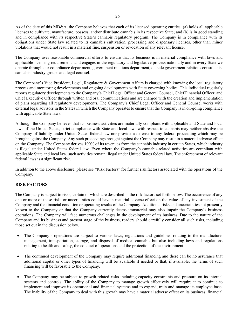As of the date of this MD&A, the Company believes that each of its licensed operating entities: (a) holds all applicable licenses to cultivate, manufacture, possess, and/or distribute cannabis in its respective State; and (b) is in good standing and in compliance with its respective State's cannabis regulatory program. The Company is in compliance with its obligations under State law related to its cannabis cultivation, processing and dispensary licenses, other than minor violations that would not result in a material fine, suspension or revocation of any relevant license.

The Company uses reasonable commercial efforts to ensure that its business is in material compliance with laws and applicable licensing requirements and engages in the regulatory and legislative process nationally and in every State we operate through our compliance department, government relations department, outside government relations consultants, cannabis industry groups and legal counsel.

The Company's Vice President, Legal, Regulatory & Government Affairs is charged with knowing the local regulatory process and monitoring developments and ongoing developments with State governing bodies. This individual regularly reports regulatory developments to the Company's Chief Legal Officer and General Counsel, Chief Financial Officer, and Chief Executive Officer through written and oral communications and are charged with the creation and implementation of plans regarding all regulatory developments. The Company's Chief Legal Officer and General Counsel works with external legal advisors in the States in which the Company operates to ensure that the Company is in on-going compliance with applicable State laws.

Although the Company believes that its business activities are materially compliant with applicable and State and local laws of the United States, strict compliance with State and local laws with respect to cannabis may neither absolve the Company of liability under United States federal law nor provide a defense to any federal proceeding which may be brought against the Company. Any such proceedings brought against the Company may result in a material adverse effect on the Company. The Company derives 100% of its revenues from the cannabis industry in certain States, which industry is illegal under United States federal law. Even where the Company's cannabis-related activities are compliant with applicable State and local law, such activities remain illegal under United States federal law. The enforcement of relevant federal laws is a significant risk.

In addition to the above disclosure, please see "Risk Factors" for further risk factors associated with the operations of the Company.

# **RISK FACTORS**

The Company is subject to risks, certain of which are described in the risk factors set forth below. The occurrence of any one or more of these risks or uncertainties could have a material adverse effect on the value of any investment of the Company and the financial condition or operating results of the Company. Additional risks and uncertainties not presently known to the Company or that the Company currently deems immaterial may also impair the Company's business operations. The Company will face numerous challenges in the development of its business. Due to the nature of the Company and its business and present stage of the business, readers should carefully consider all such risks, including those set out in the discussion below.

- The Company's operations are subject to various laws, regulations and guidelines relating to the manufacture, management, transportation, storage, and disposal of medical cannabis but also including laws and regulations relating to health and safety, the conduct of operations and the protection of the environment.
- The continued development of the Company may require additional financing and there can be no assurance that additional capital or other types of financing will be available if needed or that, if available, the terms of such financing will be favorable to the Company.
- The Company may be subject to growth-related risks including capacity constraints and pressure on its internal systems and controls. The ability of the Company to manage growth effectively will require it to continue to implement and improve its operational and financial systems and to expand, train and manage its employee base. The inability of the Company to deal with this growth may have a material adverse effect on its business, financial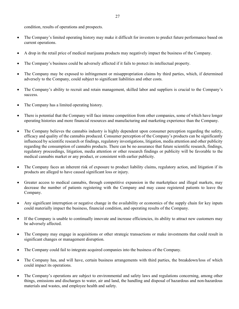condition, results of operations and prospects.

- The Company's limited operating history may make it difficult for investors to predict future performance based on current operations.
- A drop in the retail price of medical marijuana products may negatively impact the business of the Company.
- The Company's business could be adversely affected if it fails to protect its intellectual property.
- The Company may be exposed to infringement or misappropriation claims by third parties, which, if determined adversely to the Company, could subject to significant liabilities and other costs.
- The Company's ability to recruit and retain management, skilled labor and suppliers is crucial to the Company's success.
- The Company has a limited operating history.
- There is potential that the Company will face intense competition from other companies, some of which have longer operating histories and more financial resources and manufacturing and marketing experience than the Company.
- The Company believes the cannabis industry is highly dependent upon consumer perception regarding the safety, efficacy and quality of the cannabis produced. Consumer perception of the Company's products can be significantly influenced by scientific research or findings, regulatory investigations, litigation, media attention and other publicity regarding the consumption of cannabis products. There can be no assurance that future scientific research, findings, regulatory proceedings, litigation, media attention or other research findings or publicity will be favorable to the medical cannabis market or any product, or consistent with earlier publicity.
- The Company faces an inherent risk of exposure to product liability claims, regulatory action, and litigation if its products are alleged to have caused significant loss or injury.
- Greater access to medical cannabis, through competitive expansion in the marketplace and illegal markets, may decrease the number of patients registering with the Company and may cause registered patients to leave the Company.
- Any significant interruption or negative change in the availability or economics of the supply chain for key inputs could materially impact the business, financial condition, and operating results of the Company.
- If the Company is unable to continually innovate and increase efficiencies, its ability to attract new customers may be adversely affected.
- The Company may engage in acquisitions or other strategic transactions or make investments that could result in significant changes or management disruption.
- The Company could fail to integrate acquired companies into the business of the Company.
- The Company has, and will have, certain business arrangements with third parties, the breakdown/loss of which could impact its operations.
- The Company's operations are subject to environmental and safety laws and regulations concerning, among other things, emissions and discharges to water, air and land, the handling and disposal of hazardous and non-hazardous materials and wastes, and employee health and safety.